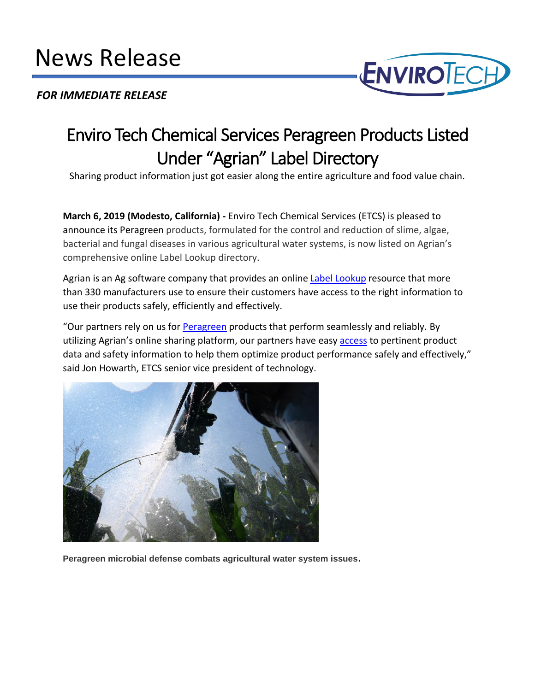## Ī News Release

## $\ddot{\phantom{0}}$ *FOR IMMEDIATE RELEASE*



## Enviro Tech Chemical Services Peragreen Products Listed Under "Agrian" Label Directory

Sharing product information just got easier along the entire agriculture and food value chain.

**March 6, 2019 (Modesto, California) -** Enviro Tech Chemical Services (ETCS) is pleased to announce its Peragreen products, formulated for the control and reduction of slime, algae, bacterial and fungal diseases in various agricultural water systems, is now listed on Agrian's comprehensive online Label Lookup directory.

Agrian is an Ag software company that provides an online [Label Lookup](https://www.agrian.com/labelcenter/results.cfm) resource that more than 330 manufacturers use to ensure their customers have access to the right information to use their products safely, efficiently and effectively.

"Our partners rely on us for [Peragreen](https://envirotech.com/?s=peragreen) products that perform seamlessly and reliably. By utilizing Agrian's online sharing platform, our partners have easy [access](https://agrian.com/labelcenter/results.cfm?s=Peragreen) to pertinent product data and safety information to help them optimize product performance safely and effectively," said Jon Howarth, ETCS senior vice president of technology.



**Peragreen microbial defense combats agricultural water system issues**.